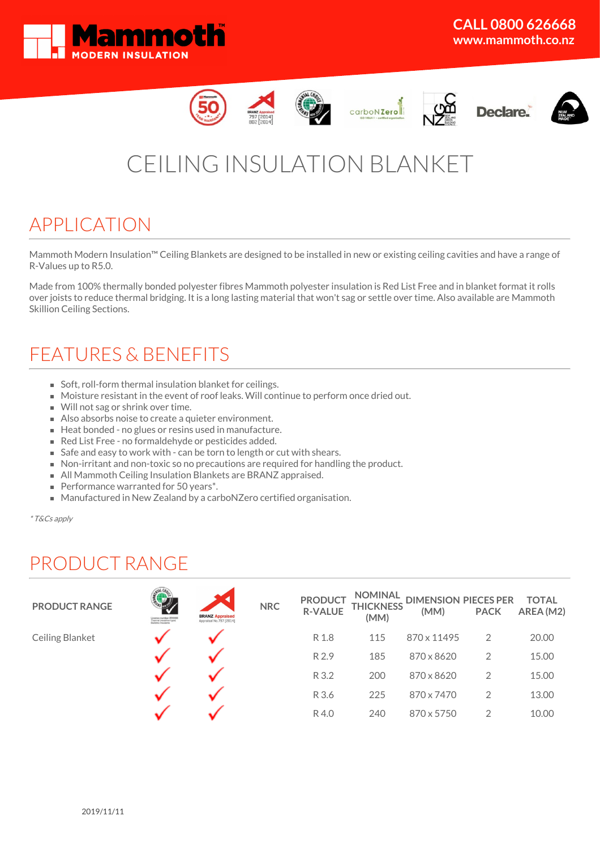













# CEILING INSULATION BLANKET

### APPLICATION

Mammoth Modern Insulation™ Ceiling Blankets are designed to be installed in new or existing ceiling cavities and have a range of R-Values up to R5.0.

Made from 100% thermally bonded polyester fibres Mammoth polyester insulation is Red List Free and in blanket format it rolls over joists to reduce thermal bridging. It is a long lasting material that won't sag or settle over time. Also available are Mammoth Skillion Ceiling Sections.

## FEATURES & BENEFITS

- Soft, roll-form thermal insulation blanket for ceilings.
- Moisture resistant in the event of roof leaks. Will continue to perform once dried out.
- Will not sag or shrink over time.
- Also absorbs noise to create a quieter environment.
- Heat bonded no glues or resins used in manufacture.
- Red List Free no formaldehyde or pesticides added.
- Safe and easy to work with can be torn to length or cut with shears.
- Non-irritant and non-toxic so no precautions are required for handling the product.
- All Mammoth Ceiling Insulation Blankets are BRANZ appraised.
- Performance warranted for 50 years\*.
- Manufactured in New Zealand by a carboNZero certified organisation.

\* T&Cs apply

## PRODUCT RANGE

| <b>PRODUCT RANGE</b> | Licence number 2510000<br>Thermal (resistive-type)<br>Building insulants | <b>BRANZ Appraised</b><br>Appraisal No.797 [2014] | <b>NRC</b> | <b>PRODUCT</b><br><b>R-VALUE</b> | <b>NOMINAL</b><br><b>THICKNESS</b><br>(MM) | <b>DIMENSION PIECES PER</b><br>(MM) | <b>PACK</b>    | <b>TOTAL</b><br>AREA (M2) |
|----------------------|--------------------------------------------------------------------------|---------------------------------------------------|------------|----------------------------------|--------------------------------------------|-------------------------------------|----------------|---------------------------|
| Ceiling Blanket      |                                                                          |                                                   |            | R 1.8                            | 115                                        | 870 x 11495                         | 2              | 20.00                     |
|                      |                                                                          |                                                   |            | R 2.9                            | 185                                        | 870 x 8620                          | $\overline{2}$ | 15.00                     |
|                      |                                                                          |                                                   |            | R 3.2                            | 200                                        | 870 x 8620                          | 2              | 15.00                     |
|                      |                                                                          |                                                   |            | R 3.6                            | 225                                        | 870 x 7470                          | 2              | 13.00                     |
|                      |                                                                          |                                                   |            | R4.0                             | 240                                        | 870 x 5750                          | 2              | 10.00                     |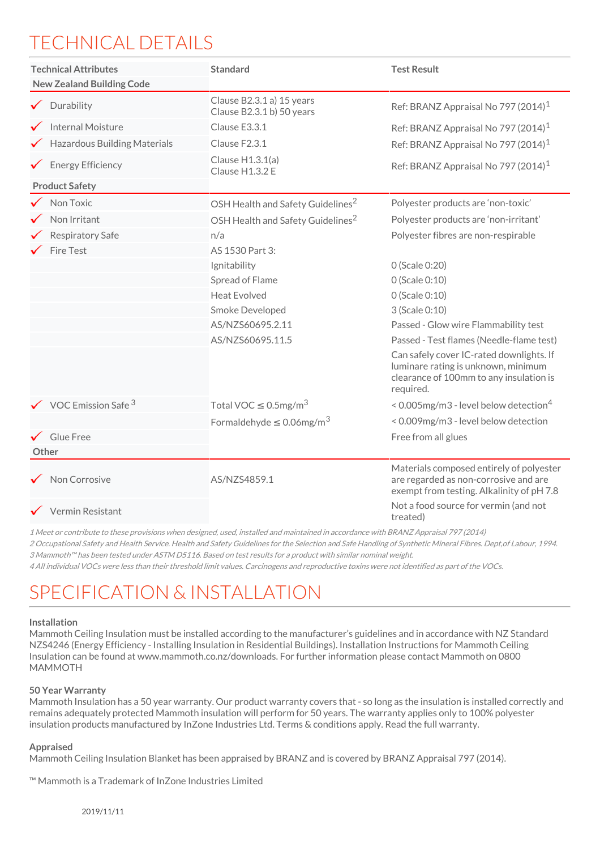# TECHNICAL DETAILS

| <b>Technical Attributes</b><br><b>New Zealand Building Code</b> | <b>Standard</b>                                        | <b>Test Result</b>                                                                                                                      |  |  |
|-----------------------------------------------------------------|--------------------------------------------------------|-----------------------------------------------------------------------------------------------------------------------------------------|--|--|
| $\checkmark$ Durability                                         | Clause B2.3.1 a) 15 years<br>Clause B2.3.1 b) 50 years | Ref: BRANZ Appraisal No 797 (2014) <sup>1</sup>                                                                                         |  |  |
| <b>Internal Moisture</b>                                        | Clause E3.3.1                                          | Ref: BRANZ Appraisal No 797 (2014) <sup>1</sup>                                                                                         |  |  |
| <b>Hazardous Building Materials</b>                             | Clause F2.3.1                                          | Ref: BRANZ Appraisal No 797 (2014) <sup>1</sup>                                                                                         |  |  |
| $\checkmark$ Energy Efficiency                                  | Clause H1.3.1(a)<br>Clause H1.3.2 E                    | Ref: BRANZ Appraisal No 797 (2014) <sup>1</sup>                                                                                         |  |  |
| <b>Product Safety</b>                                           |                                                        |                                                                                                                                         |  |  |
| Non Toxic                                                       | OSH Health and Safety Guidelines <sup>2</sup>          | Polyester products are 'non-toxic'                                                                                                      |  |  |
| Non Irritant                                                    | OSH Health and Safety Guidelines <sup>2</sup>          | Polyester products are 'non-irritant'                                                                                                   |  |  |
| <b>Respiratory Safe</b>                                         | n/a                                                    | Polyester fibres are non-respirable                                                                                                     |  |  |
| Fire Test                                                       | AS 1530 Part 3:                                        |                                                                                                                                         |  |  |
|                                                                 | Ignitability                                           | 0 (Scale 0:20)                                                                                                                          |  |  |
|                                                                 | Spread of Flame                                        | 0 (Scale 0:10)                                                                                                                          |  |  |
|                                                                 | <b>Heat Evolved</b>                                    | 0 (Scale 0:10)                                                                                                                          |  |  |
|                                                                 | Smoke Developed                                        | 3 (Scale 0:10)                                                                                                                          |  |  |
|                                                                 | AS/NZS60695.2.11                                       | Passed - Glow wire Flammability test                                                                                                    |  |  |
|                                                                 | AS/NZS60695.11.5                                       | Passed - Test flames (Needle-flame test)                                                                                                |  |  |
|                                                                 |                                                        | Can safely cover IC-rated downlights. If<br>luminare rating is unknown, minimum<br>clearance of 100mm to any insulation is<br>required. |  |  |
| $\checkmark$ VOC Emission Safe $^3$                             | Total VOC $\leq$ 0.5mg/m <sup>3</sup>                  | < 0.005mg/m3 - level below detection <sup>4</sup>                                                                                       |  |  |
|                                                                 | Formaldehyde $\leq 0.06$ mg/m <sup>3</sup>             | < 0.009mg/m3 - level below detection                                                                                                    |  |  |
| $\checkmark$ Glue Free                                          |                                                        | Free from all glues                                                                                                                     |  |  |
| Other                                                           |                                                        |                                                                                                                                         |  |  |
| Non Corrosive                                                   | AS/NZS4859.1                                           | Materials composed entirely of polyester<br>are regarded as non-corrosive and are<br>exempt from testing. Alkalinity of pH 7.8          |  |  |
| $\checkmark$ Vermin Resistant                                   |                                                        | Not a food source for vermin (and not<br>treated)                                                                                       |  |  |

1 Meet or contribute to these provisions when designed, used, installed and maintained in accordance with BRANZ Appraisal 797 (2014)

2 Occupational Safety and Health Service. Health and Safety Guidelines for the Selection and Safe Handling of Synthetic Mineral Fibres. Dept,of Labour, 1994. 3 Mammoth™ has been tested under ASTM D5116. Based on test results for <sup>a</sup> product with similar nominal weight.

4 All individual VOCs were less than their threshold limit values. Carcinogens and reproductive toxins were not identified as part of the VOCs.

# SPECIFICATION & INSTALLATION

### **Installation**

Mammoth Ceiling Insulation must be installed according to the manufacturer's guidelines and in accordance with NZ Standard NZS4246 (Energy Efficiency - Installing Insulation in Residential Buildings). Installation Instructions for Mammoth Ceiling Insulation can be found at www.mammoth.co.nz/downloads. For further information please contact Mammoth on 0800 MAMMOTH

#### **50 Year Warranty**

Mammoth Insulation has a 50 year warranty. Our product warranty covers that - so long as the insulation is installed correctly and remains adequately protected Mammoth insulation will perform for 50 years. The warranty applies only to 100% polyester insulation products manufactured by InZone Industries Ltd. Terms & conditions apply. Read the full warranty.

#### **Appraised**

Mammoth Ceiling Insulation Blanket has been appraised by BRANZ and is covered by BRANZ Appraisal 797 (2014).

™ Mammoth is a Trademark of InZone Industries Limited